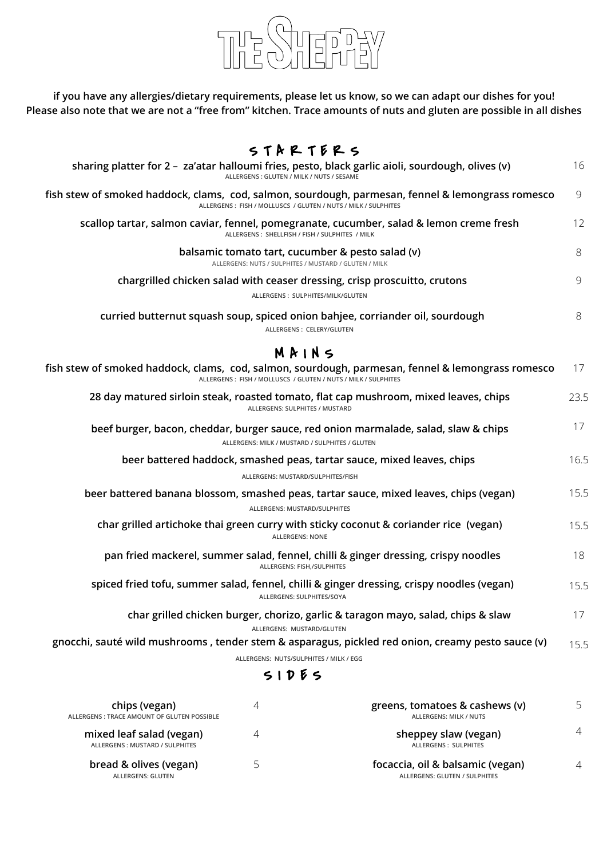

**if you have any allergies/dietary requirements, please let us know, so we can adapt our dishes for you! Please also note that we are not a "free from" kitchen. Trace amounts of nuts and gluten are possible in all dishes**

## $S T A R T E R S$

| sharing platter for 2 - za'atar halloumi fries, pesto, black garlic aioli, sourdough, olives (v)<br>ALLERGENS: GLUTEN / MILK / NUTS / SESAME |                                                                                                                  |                                                                                  |      |  |
|----------------------------------------------------------------------------------------------------------------------------------------------|------------------------------------------------------------------------------------------------------------------|----------------------------------------------------------------------------------|------|--|
| fish stew of smoked haddock, clams, cod, salmon, sourdough, parmesan, fennel & lemongrass romesco                                            | ALLERGENS: FISH / MOLLUSCS / GLUTEN / NUTS / MILK / SULPHITES                                                    |                                                                                  | 9    |  |
| scallop tartar, salmon caviar, fennel, pomegranate, cucumber, salad & lemon creme fresh                                                      | ALLERGENS: SHELLFISH / FISH / SULPHITES / MILK                                                                   |                                                                                  | 12   |  |
|                                                                                                                                              | balsamic tomato tart, cucumber & pesto salad (v)<br>ALLERGENS: NUTS / SULPHITES / MUSTARD / GLUTEN / MILK        |                                                                                  | 8    |  |
|                                                                                                                                              | chargrilled chicken salad with ceaser dressing, crisp proscuitto, crutons<br>ALLERGENS: SULPHITES/MILK/GLUTEN    |                                                                                  | 9    |  |
| curried butternut squash soup, spiced onion bahjee, corriander oil, sourdough                                                                | ALLERGENS: CELERY/GLUTEN                                                                                         |                                                                                  | 8    |  |
|                                                                                                                                              | M R I N 5                                                                                                        |                                                                                  |      |  |
| fish stew of smoked haddock, clams, cod, salmon, sourdough, parmesan, fennel & lemongrass romesco                                            | ALLERGENS: FISH / MOLLUSCS / GLUTEN / NUTS / MILK / SULPHITES                                                    |                                                                                  | 17   |  |
| 28 day matured sirloin steak, roasted tomato, flat cap mushroom, mixed leaves, chips                                                         | ALLERGENS: SULPHITES / MUSTARD                                                                                   |                                                                                  | 23.5 |  |
| beef burger, bacon, cheddar, burger sauce, red onion marmalade, salad, slaw & chips                                                          | ALLERGENS: MILK / MUSTARD / SULPHITES / GLUTEN                                                                   |                                                                                  | 17   |  |
|                                                                                                                                              | beer battered haddock, smashed peas, tartar sauce, mixed leaves, chips<br>ALLERGENS: MUSTARD/SULPHITES/FISH      |                                                                                  | 16.5 |  |
| beer battered banana blossom, smashed peas, tartar sauce, mixed leaves, chips (vegan)                                                        | ALLERGENS: MUSTARD/SULPHITES                                                                                     |                                                                                  | 15.5 |  |
| char grilled artichoke thai green curry with sticky coconut & coriander rice (vegan)                                                         | <b>ALLERGENS: NONE</b>                                                                                           |                                                                                  | 15.5 |  |
|                                                                                                                                              | pan fried mackerel, summer salad, fennel, chilli & ginger dressing, crispy noodles<br>ALLERGENS: FISH,/SULPHITES |                                                                                  | 18   |  |
| spiced fried tofu, summer salad, fennel, chilli & ginger dressing, crispy noodles (vegan)                                                    | ALLERGENS: SULPHITES/SOYA                                                                                        |                                                                                  | 15.5 |  |
|                                                                                                                                              | ALLERGENS: MUSTARD/GLUTEN                                                                                        | char grilled chicken burger, chorizo, garlic & taragon mayo, salad, chips & slaw | 17   |  |
| gnocchi, sauté wild mushrooms, tender stem & asparagus, pickled red onion, creamy pesto sauce (v)                                            |                                                                                                                  |                                                                                  | 15.5 |  |
|                                                                                                                                              | ALLERGENS: NUTS/SULPHITES / MILK / EGG<br>51D55                                                                  |                                                                                  |      |  |
| chips (vegan)<br>ALLERGENS : TRACE AMOUNT OF GLUTEN POSSIBLE                                                                                 | 4                                                                                                                | greens, tomatoes & cashews (v)<br><b>ALLERGENS: MILK / NUTS</b>                  | 5    |  |

| mixed leaf salad (vegan)<br>ALLERGENS: MUSTARD / SULPHITES | sheppey slaw (vegan)<br>ALLERGENS: SULPHITES |  |
|------------------------------------------------------------|----------------------------------------------|--|
| bread & olives (vegan)                                     | focaccia, oil & balsamic (vegan)             |  |
| ALLERGENS: GLUTEN                                          | ALLERGENS: GLUTEN / SULPHITES                |  |